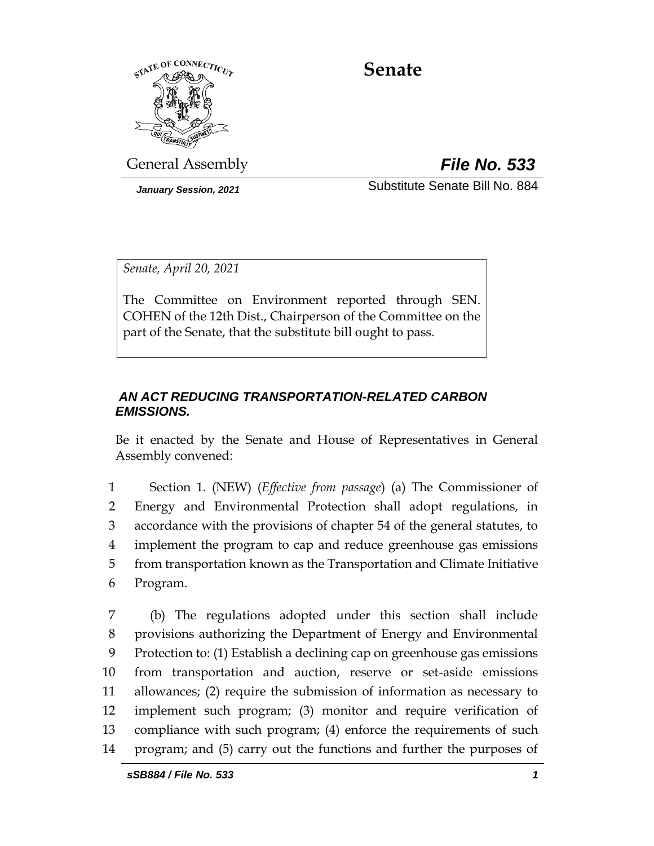

# **Senate**

General Assembly *File No. 533*

*January Session, 2021* Substitute Senate Bill No. 884

*Senate, April 20, 2021*

The Committee on Environment reported through SEN. COHEN of the 12th Dist., Chairperson of the Committee on the part of the Senate, that the substitute bill ought to pass.

### *AN ACT REDUCING TRANSPORTATION-RELATED CARBON EMISSIONS.*

Be it enacted by the Senate and House of Representatives in General Assembly convened:

 Section 1. (NEW) (*Effective from passage*) (a) The Commissioner of Energy and Environmental Protection shall adopt regulations, in accordance with the provisions of chapter 54 of the general statutes, to implement the program to cap and reduce greenhouse gas emissions from transportation known as the Transportation and Climate Initiative Program.

 (b) The regulations adopted under this section shall include provisions authorizing the Department of Energy and Environmental Protection to: (1) Establish a declining cap on greenhouse gas emissions from transportation and auction, reserve or set-aside emissions allowances; (2) require the submission of information as necessary to implement such program; (3) monitor and require verification of compliance with such program; (4) enforce the requirements of such program; and (5) carry out the functions and further the purposes of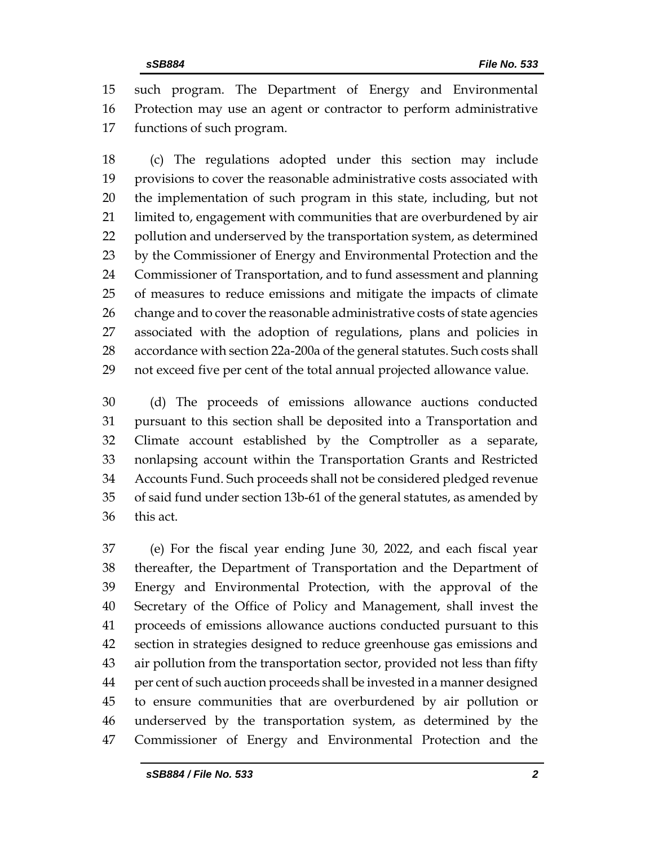such program. The Department of Energy and Environmental Protection may use an agent or contractor to perform administrative functions of such program.

 (c) The regulations adopted under this section may include provisions to cover the reasonable administrative costs associated with the implementation of such program in this state, including, but not limited to, engagement with communities that are overburdened by air pollution and underserved by the transportation system, as determined by the Commissioner of Energy and Environmental Protection and the Commissioner of Transportation, and to fund assessment and planning of measures to reduce emissions and mitigate the impacts of climate 26 change and to cover the reasonable administrative costs of state agencies associated with the adoption of regulations, plans and policies in accordance with section 22a-200a of the general statutes. Such costs shall not exceed five per cent of the total annual projected allowance value.

 (d) The proceeds of emissions allowance auctions conducted pursuant to this section shall be deposited into a Transportation and Climate account established by the Comptroller as a separate, nonlapsing account within the Transportation Grants and Restricted Accounts Fund. Such proceeds shall not be considered pledged revenue of said fund under section 13b-61 of the general statutes, as amended by this act.

 (e) For the fiscal year ending June 30, 2022, and each fiscal year thereafter, the Department of Transportation and the Department of Energy and Environmental Protection, with the approval of the Secretary of the Office of Policy and Management, shall invest the proceeds of emissions allowance auctions conducted pursuant to this section in strategies designed to reduce greenhouse gas emissions and air pollution from the transportation sector, provided not less than fifty per cent of such auction proceeds shall be invested in a manner designed to ensure communities that are overburdened by air pollution or underserved by the transportation system, as determined by the Commissioner of Energy and Environmental Protection and the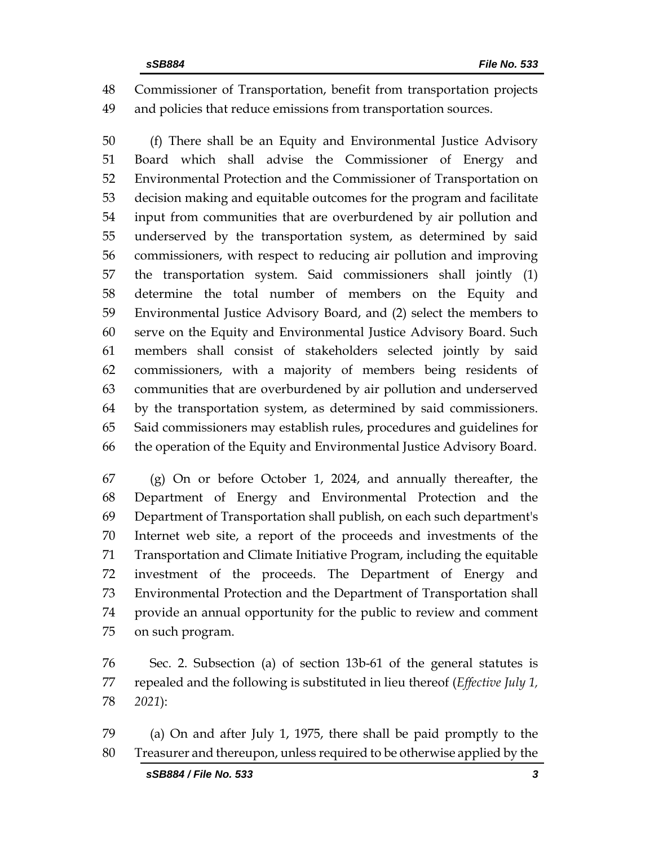Commissioner of Transportation, benefit from transportation projects and policies that reduce emissions from transportation sources.

 (f) There shall be an Equity and Environmental Justice Advisory Board which shall advise the Commissioner of Energy and Environmental Protection and the Commissioner of Transportation on decision making and equitable outcomes for the program and facilitate input from communities that are overburdened by air pollution and underserved by the transportation system, as determined by said commissioners, with respect to reducing air pollution and improving the transportation system. Said commissioners shall jointly (1) determine the total number of members on the Equity and Environmental Justice Advisory Board, and (2) select the members to serve on the Equity and Environmental Justice Advisory Board. Such members shall consist of stakeholders selected jointly by said commissioners, with a majority of members being residents of communities that are overburdened by air pollution and underserved by the transportation system, as determined by said commissioners. Said commissioners may establish rules, procedures and guidelines for the operation of the Equity and Environmental Justice Advisory Board.

 (g) On or before October 1, 2024, and annually thereafter, the Department of Energy and Environmental Protection and the Department of Transportation shall publish, on each such department's Internet web site, a report of the proceeds and investments of the Transportation and Climate Initiative Program, including the equitable investment of the proceeds. The Department of Energy and Environmental Protection and the Department of Transportation shall provide an annual opportunity for the public to review and comment on such program.

 Sec. 2. Subsection (a) of section 13b-61 of the general statutes is repealed and the following is substituted in lieu thereof (*Effective July 1, 2021*):

 (a) On and after July 1, 1975, there shall be paid promptly to the Treasurer and thereupon, unless required to be otherwise applied by the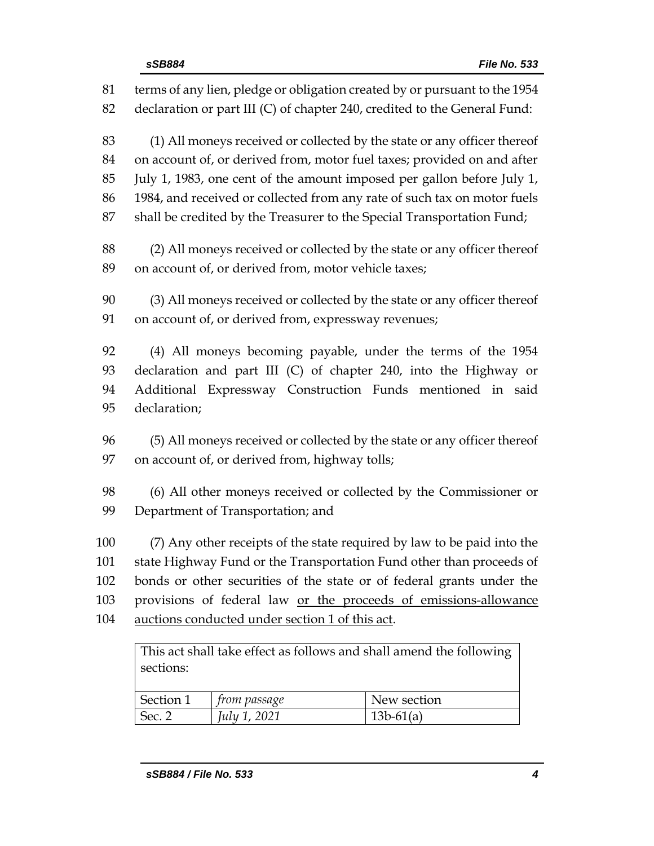| 81  | terms of any lien, pledge or obligation created by or pursuant to the 1954       |
|-----|----------------------------------------------------------------------------------|
| 82  | declaration or part III (C) of chapter 240, credited to the General Fund:        |
| 83  | (1) All moneys received or collected by the state or any officer thereof         |
| 84  | on account of, or derived from, motor fuel taxes; provided on and after          |
| 85  | July 1, 1983, one cent of the amount imposed per gallon before July 1,           |
| 86  | 1984, and received or collected from any rate of such tax on motor fuels         |
| 87  | shall be credited by the Treasurer to the Special Transportation Fund;           |
| 88  | (2) All moneys received or collected by the state or any officer thereof         |
| 89  | on account of, or derived from, motor vehicle taxes;                             |
| 90  | (3) All moneys received or collected by the state or any officer thereof         |
| 91  | on account of, or derived from, expressway revenues;                             |
| 92  | (4) All moneys becoming payable, under the terms of the 1954                     |
| 93  | declaration and part III (C) of chapter 240, into the Highway or                 |
| 94  | Additional Expressway Construction Funds mentioned in said                       |
| 95  | declaration;                                                                     |
| 96  | (5) All moneys received or collected by the state or any officer thereof         |
| 97  | on account of, or derived from, highway tolls;                                   |
| 98  | (6) All other moneys received or collected by the Commissioner or                |
| 99  | Department of Transportation; and                                                |
| 100 | (7) Any other receipts of the state required by law to be paid into the          |
| 101 | state Highway Fund or the Transportation Fund other than proceeds of             |
| 102 | bonds or other securities of the state or of federal grants under the            |
| 103 | provisions of federal law or the proceeds of emissions-allowance                 |
| 104 | auctions conducted under section 1 of this act.                                  |
|     | This act shall take effect as follows and shall amend the following<br>sections: |

| Section 1<br>New section<br>trom passage |                   |              |             |
|------------------------------------------|-------------------|--------------|-------------|
|                                          |                   |              |             |
|                                          | Sec. <sup>-</sup> | July 1, 2021 | $13b-61(a)$ |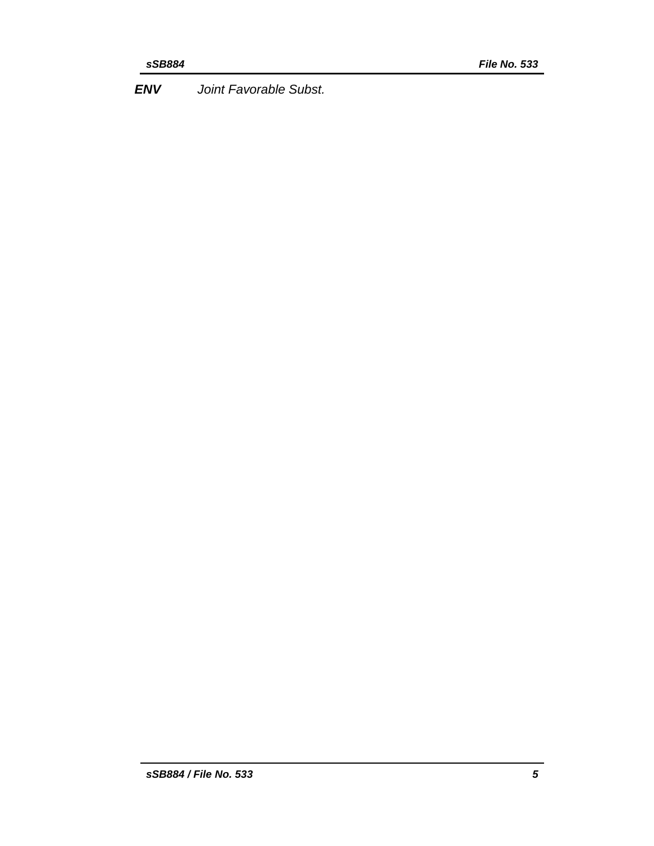*ENV Joint Favorable Subst.*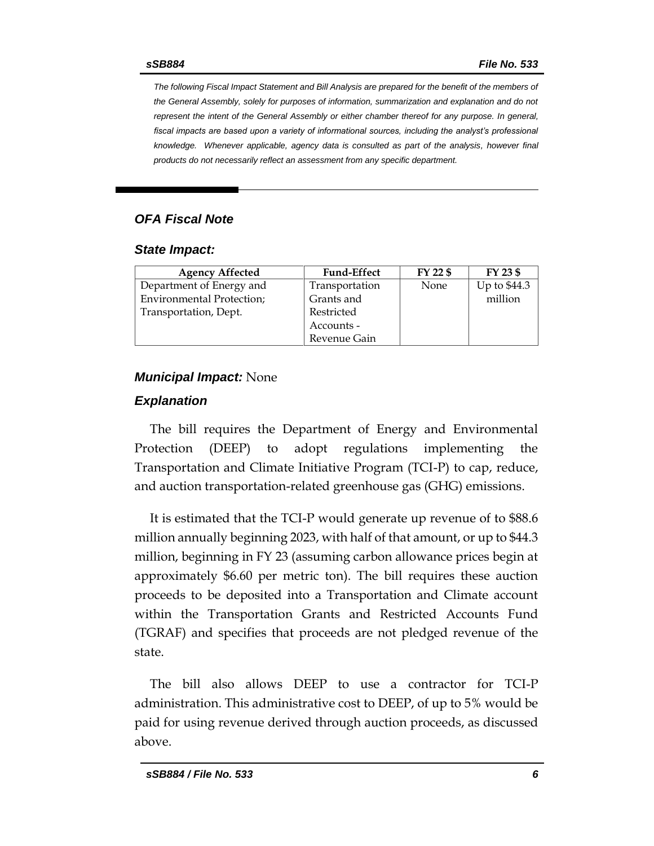*The following Fiscal Impact Statement and Bill Analysis are prepared for the benefit of the members of the General Assembly, solely for purposes of information, summarization and explanation and do not represent the intent of the General Assembly or either chamber thereof for any purpose. In general,*  fiscal impacts are based upon a variety of informational sources, including the analyst's professional *knowledge. Whenever applicable, agency data is consulted as part of the analysis, however final products do not necessarily reflect an assessment from any specific department.*

### *OFA Fiscal Note*

#### *State Impact:*

| <b>Agency Affected</b>           | <b>Fund-Effect</b> | FY 22 \$ | FY 23 \$     |
|----------------------------------|--------------------|----------|--------------|
| Department of Energy and         | Transportation     | None     | Up to \$44.3 |
| <b>Environmental Protection;</b> | Grants and         |          | million      |
| Transportation, Dept.            | Restricted         |          |              |
|                                  | Accounts -         |          |              |
|                                  | Revenue Gain       |          |              |

#### *Municipal Impact:* None

#### *Explanation*

The bill requires the Department of Energy and Environmental Protection (DEEP) to adopt regulations implementing the Transportation and Climate Initiative Program (TCI-P) to cap, reduce, and auction transportation-related greenhouse gas (GHG) emissions.

It is estimated that the TCI-P would generate up revenue of to \$88.6 million annually beginning 2023, with half of that amount, or up to \$44.3 million, beginning in FY 23 (assuming carbon allowance prices begin at approximately \$6.60 per metric ton). The bill requires these auction proceeds to be deposited into a Transportation and Climate account within the Transportation Grants and Restricted Accounts Fund (TGRAF) and specifies that proceeds are not pledged revenue of the state.

The bill also allows DEEP to use a contractor for TCI-P administration. This administrative cost to DEEP, of up to 5% would be paid for using revenue derived through auction proceeds, as discussed above.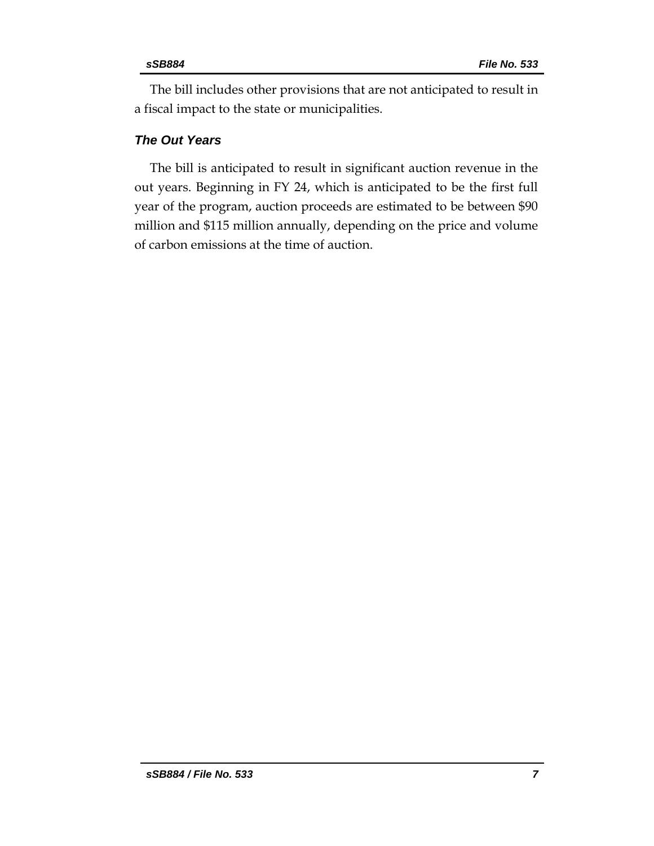The bill includes other provisions that are not anticipated to result in a fiscal impact to the state or municipalities.

# *The Out Years*

The bill is anticipated to result in significant auction revenue in the out years. Beginning in FY 24, which is anticipated to be the first full year of the program, auction proceeds are estimated to be between \$90 million and \$115 million annually, depending on the price and volume of carbon emissions at the time of auction.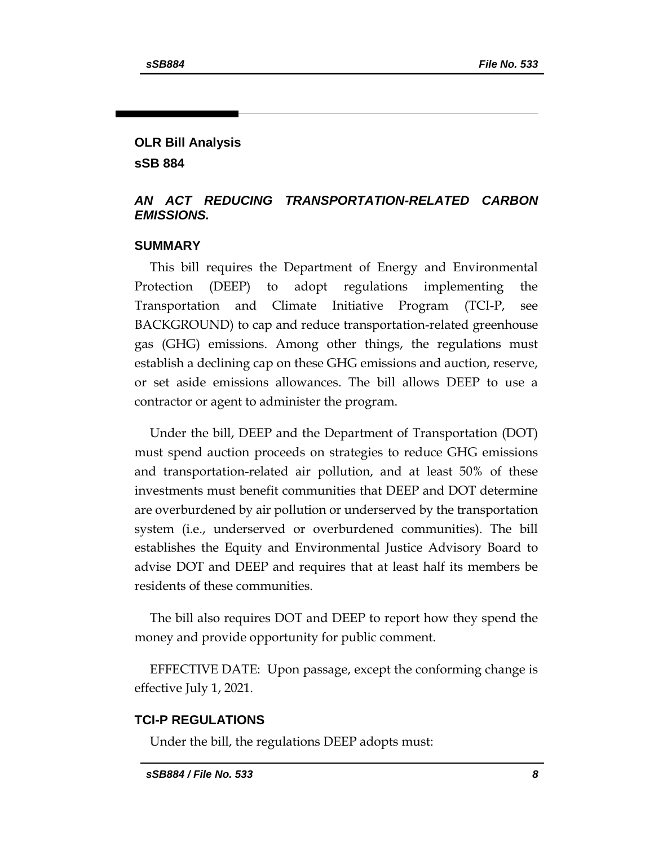# **OLR Bill Analysis sSB 884**

### *AN ACT REDUCING TRANSPORTATION-RELATED CARBON EMISSIONS.*

#### **SUMMARY**

This bill requires the Department of Energy and Environmental Protection (DEEP) to adopt regulations implementing the Transportation and Climate Initiative Program (TCI-P, see BACKGROUND) to cap and reduce transportation-related greenhouse gas (GHG) emissions. Among other things, the regulations must establish a declining cap on these GHG emissions and auction, reserve, or set aside emissions allowances. The bill allows DEEP to use a contractor or agent to administer the program.

Under the bill, DEEP and the Department of Transportation (DOT) must spend auction proceeds on strategies to reduce GHG emissions and transportation-related air pollution, and at least 50% of these investments must benefit communities that DEEP and DOT determine are overburdened by air pollution or underserved by the transportation system (i.e., underserved or overburdened communities). The bill establishes the Equity and Environmental Justice Advisory Board to advise DOT and DEEP and requires that at least half its members be residents of these communities.

The bill also requires DOT and DEEP to report how they spend the money and provide opportunity for public comment.

EFFECTIVE DATE: Upon passage, except the conforming change is effective July 1, 2021.

#### **TCI-P REGULATIONS**

Under the bill, the regulations DEEP adopts must: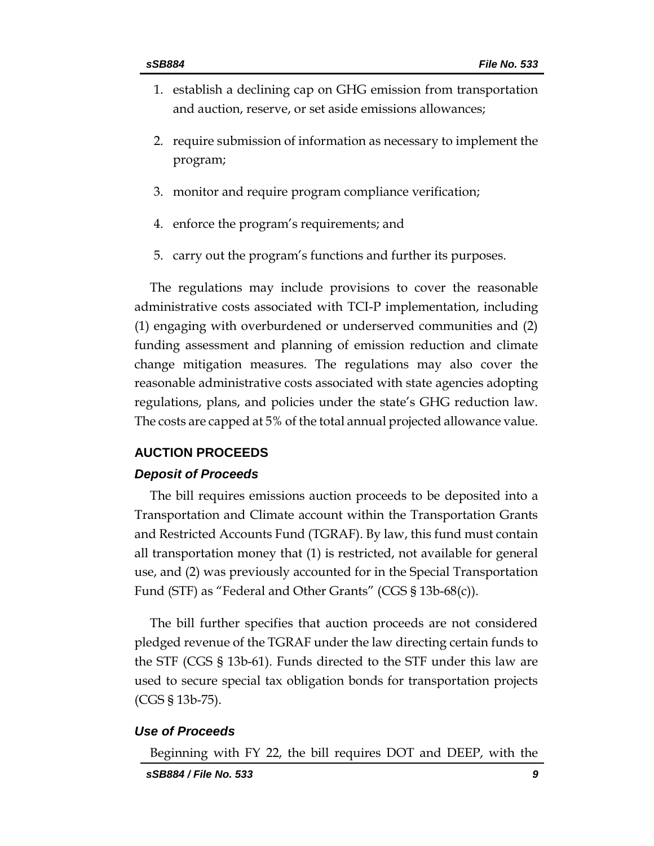- 1. establish a declining cap on GHG emission from transportation and auction, reserve, or set aside emissions allowances;
- 2. require submission of information as necessary to implement the program;
- 3. monitor and require program compliance verification;
- 4. enforce the program's requirements; and
- 5. carry out the program's functions and further its purposes.

The regulations may include provisions to cover the reasonable administrative costs associated with TCI-P implementation, including (1) engaging with overburdened or underserved communities and (2) funding assessment and planning of emission reduction and climate change mitigation measures. The regulations may also cover the reasonable administrative costs associated with state agencies adopting regulations, plans, and policies under the state's GHG reduction law. The costs are capped at 5% of the total annual projected allowance value.

#### **AUCTION PROCEEDS**

#### *Deposit of Proceeds*

The bill requires emissions auction proceeds to be deposited into a Transportation and Climate account within the Transportation Grants and Restricted Accounts Fund (TGRAF). By law, this fund must contain all transportation money that (1) is restricted, not available for general use, and (2) was previously accounted for in the Special Transportation Fund (STF) as "Federal and Other Grants" (CGS § 13b-68(c)).

The bill further specifies that auction proceeds are not considered pledged revenue of the TGRAF under the law directing certain funds to the STF (CGS § 13b-61). Funds directed to the STF under this law are used to secure special tax obligation bonds for transportation projects (CGS § 13b-75).

#### *Use of Proceeds*

Beginning with FY 22, the bill requires DOT and DEEP, with the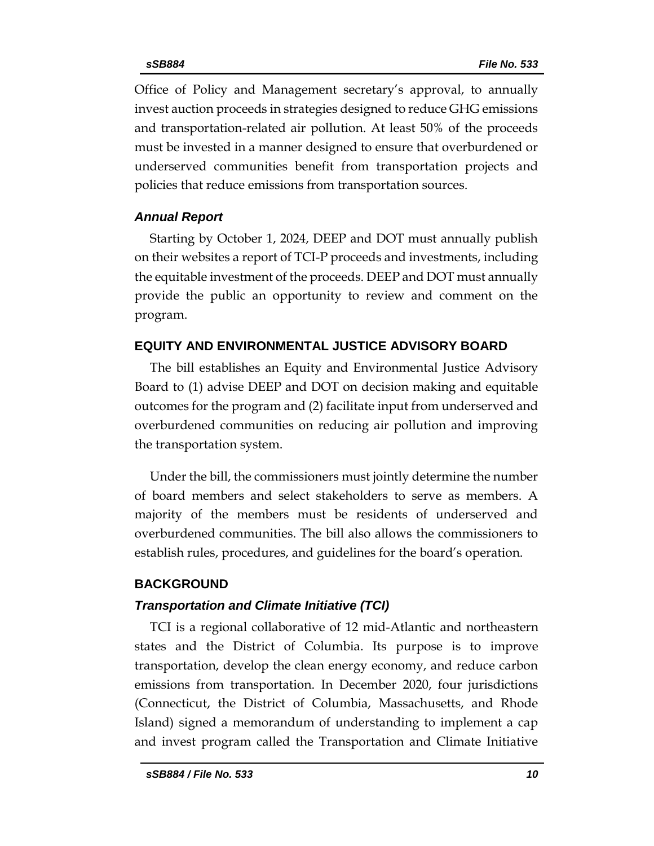Office of Policy and Management secretary's approval, to annually invest auction proceeds in strategies designed to reduce GHG emissions and transportation-related air pollution. At least 50% of the proceeds must be invested in a manner designed to ensure that overburdened or underserved communities benefit from transportation projects and policies that reduce emissions from transportation sources.

#### *Annual Report*

Starting by October 1, 2024, DEEP and DOT must annually publish on their websites a report of TCI-P proceeds and investments, including the equitable investment of the proceeds. DEEP and DOT must annually provide the public an opportunity to review and comment on the program.

### **EQUITY AND ENVIRONMENTAL JUSTICE ADVISORY BOARD**

The bill establishes an Equity and Environmental Justice Advisory Board to (1) advise DEEP and DOT on decision making and equitable outcomes for the program and (2) facilitate input from underserved and overburdened communities on reducing air pollution and improving the transportation system.

Under the bill, the commissioners must jointly determine the number of board members and select stakeholders to serve as members. A majority of the members must be residents of underserved and overburdened communities. The bill also allows the commissioners to establish rules, procedures, and guidelines for the board's operation.

# **BACKGROUND**

# *Transportation and Climate Initiative (TCI)*

TCI is a regional collaborative of 12 mid-Atlantic and northeastern states and the District of Columbia. Its purpose is to improve transportation, develop the clean energy economy, and reduce carbon emissions from transportation. In December 2020, four jurisdictions (Connecticut, the District of Columbia, Massachusetts, and Rhode Island) signed a memorandum of understanding to implement a cap and invest program called the Transportation and Climate Initiative